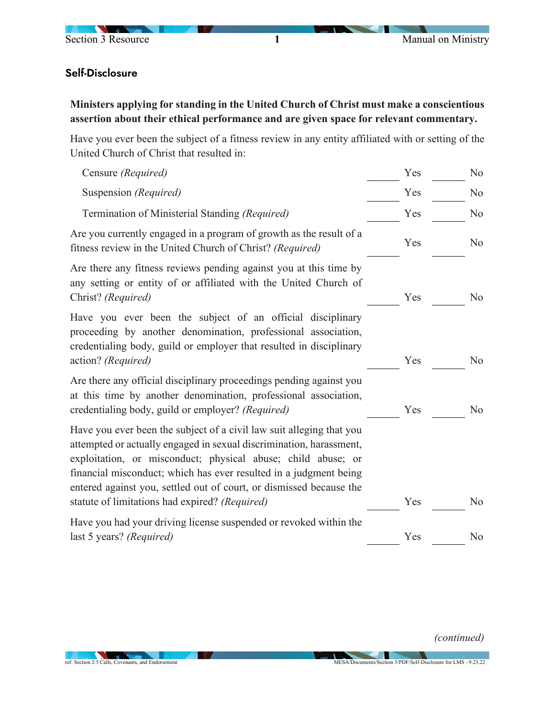

## Self-Disclosure

**Ministers applying for standing in the United Church of Christ must make a conscientious assertion about their ethical performance and are given space for relevant commentary.** 

Have you ever been the subject of a fitness review in any entity affiliated with or setting of the United Church of Christ that resulted in:

| Censure (Required)                                                                                                                                                                                                                                                                                                                                                                                        | Yes | No             |
|-----------------------------------------------------------------------------------------------------------------------------------------------------------------------------------------------------------------------------------------------------------------------------------------------------------------------------------------------------------------------------------------------------------|-----|----------------|
| Suspension (Required)                                                                                                                                                                                                                                                                                                                                                                                     | Yes | No             |
| Termination of Ministerial Standing (Required)                                                                                                                                                                                                                                                                                                                                                            | Yes | No             |
| Are you currently engaged in a program of growth as the result of a<br>fitness review in the United Church of Christ? (Required)                                                                                                                                                                                                                                                                          | Yes | N <sub>o</sub> |
| Are there any fitness reviews pending against you at this time by<br>any setting or entity of or affiliated with the United Church of<br>Christ? (Required)                                                                                                                                                                                                                                               | Yes | N <sub>o</sub> |
| Have you ever been the subject of an official disciplinary<br>proceeding by another denomination, professional association,<br>credentialing body, guild or employer that resulted in disciplinary<br>action? (Required)                                                                                                                                                                                  | Yes | N <sub>o</sub> |
| Are there any official disciplinary proceedings pending against you<br>at this time by another denomination, professional association,<br>credentialing body, guild or employer? (Required)                                                                                                                                                                                                               | Yes | No             |
| Have you ever been the subject of a civil law suit alleging that you<br>attempted or actually engaged in sexual discrimination, harassment,<br>exploitation, or misconduct; physical abuse; child abuse; or<br>financial misconduct; which has ever resulted in a judgment being<br>entered against you, settled out of court, or dismissed because the<br>statute of limitations had expired? (Required) | Yes | No             |
| Have you had your driving license suspended or revoked within the<br>last 5 years? (Required)                                                                                                                                                                                                                                                                                                             | Yes | No             |
|                                                                                                                                                                                                                                                                                                                                                                                                           |     |                |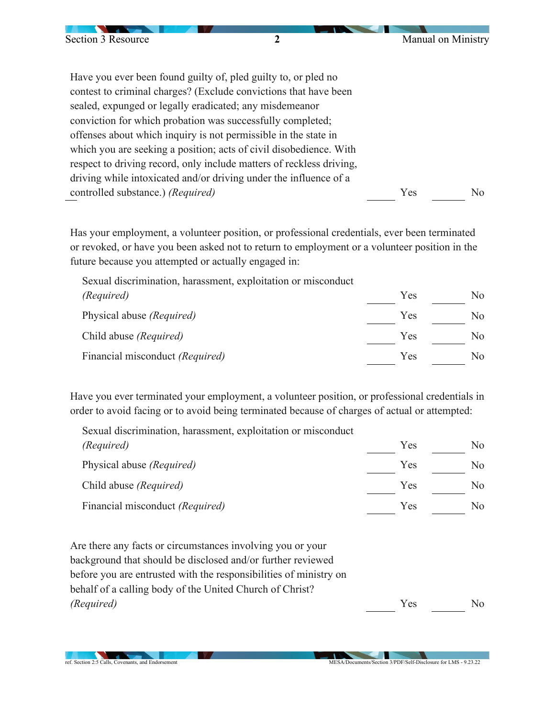| Section 3 Resource                | $\boldsymbol{2}$                                                     | Manual on Ministry    |
|-----------------------------------|----------------------------------------------------------------------|-----------------------|
|                                   |                                                                      |                       |
|                                   |                                                                      |                       |
|                                   | Have you ever been found guilty of, pled guilty to, or pled no       |                       |
|                                   | contest to criminal charges? (Exclude convictions that have been     |                       |
|                                   | sealed, expunged or legally eradicated; any misdemeanor              |                       |
|                                   | conviction for which probation was successfully completed;           |                       |
|                                   | offenses about which inquiry is not permissible in the state in      |                       |
|                                   | which you are seeking a position; acts of civil disobedience. With   |                       |
|                                   | respect to driving record, only include matters of reckless driving, |                       |
|                                   | driving while intoxicated and/or driving under the influence of a    |                       |
| controlled substance.) (Required) |                                                                      | Yes<br>N <sub>0</sub> |

Has your employment, a volunteer position, or professional credentials, ever been terminated or revoked, or have you been asked not to return to employment or a volunteer position in the future because you attempted or actually engaged in:

Sexual discrimination, harassment, exploitation or misconduct *(Required)* Physical abuse *(Required)* Yes Yes No No Child abuse *(Required)* Yes No Financial misconduct *(Required)* Yes No

Have you ever terminated your employment, a volunteer position, or professional credentials in order to avoid facing or to avoid being terminated because of charges of actual or attempted:

Sexual discrimination, harassment, exploitation or misconduct *(Required)* Physical abuse *(Required)* Yes Yes No  $\overline{\phantom{0}}$  No Child abuse *(Required)* Yes No Financial misconduct *(Required)* Yes No

Are there any facts or circumstances involving you or your background that should be disclosed and/or further reviewed before you are entrusted with the responsibilities of ministry on behalf of a calling body of the United Church of Christ? *(Required)* Yes No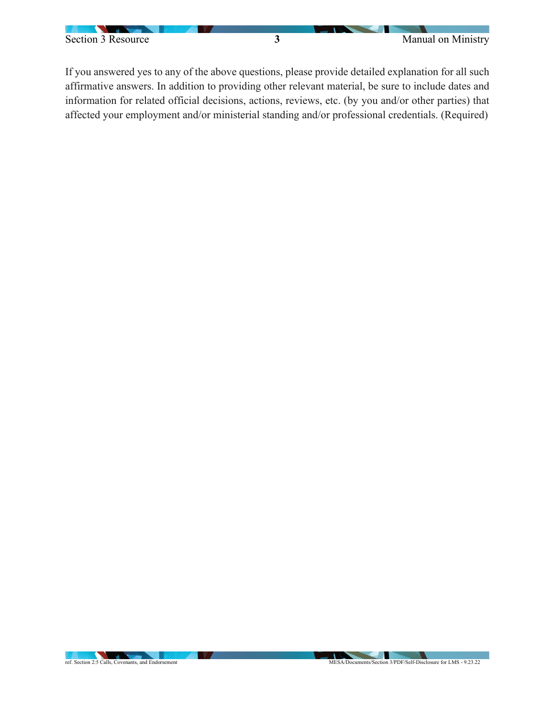

If you answered yes to any of the above questions, please provide detailed explanation for all such affirmative answers. In addition to providing other relevant material, be sure to include dates and information for related official decisions, actions, reviews, etc. (by you and/or other parties) that affected your employment and/or ministerial standing and/or professional credentials. (Required)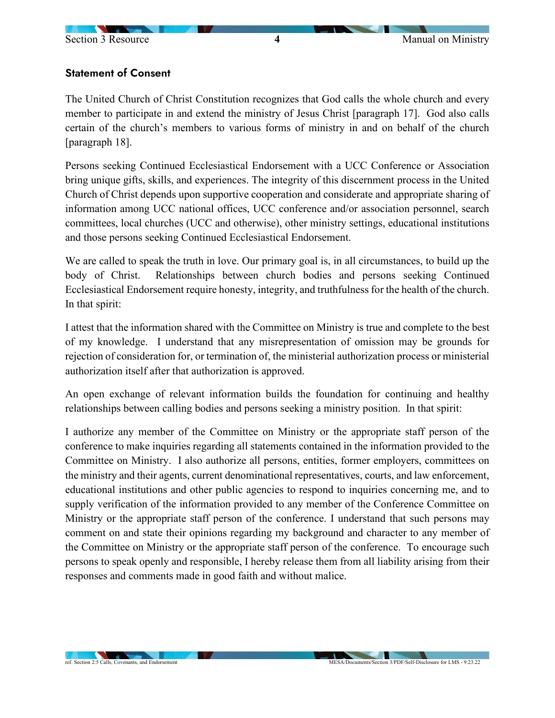## Statement of Consent

The United Church of Christ Constitution recognizes that God calls the whole church and every member to participate in and extend the ministry of Jesus Christ [paragraph 17]. God also calls certain of the church's members to various forms of ministry in and on behalf of the church [paragraph 18].

Persons seeking Continued Ecclesiastical Endorsement with a UCC Conference or Association bring unique gifts, skills, and experiences. The integrity of this discernment process in the United Church of Christ depends upon supportive cooperation and considerate and appropriate sharing of information among UCC national offices, UCC conference and/or association personnel, search committees, local churches (UCC and otherwise), other ministry settings, educational institutions and those persons seeking Continued Ecclesiastical Endorsement.

We are called to speak the truth in love. Our primary goal is, in all circumstances, to build up the body of Christ. Relationships between church bodies and persons seeking Continued Ecclesiastical Endorsement require honesty, integrity, and truthfulness for the health of the church. In that spirit:

I attest that the information shared with the Committee on Ministry is true and complete to the best of my knowledge. I understand that any misrepresentation of omission may be grounds for rejection of consideration for, or termination of, the ministerial authorization process or ministerial authorization itself after that authorization is approved.

An open exchange of relevant information builds the foundation for continuing and healthy relationships between calling bodies and persons seeking a ministry position. In that spirit:

I authorize any member of the Committee on Ministry or the appropriate staff person of the conference to make inquiries regarding all statements contained in the information provided to the Committee on Ministry. I also authorize all persons, entities, former employers, committees on the ministry and their agents, current denominational representatives, courts, and law enforcement, educational institutions and other public agencies to respond to inquiries concerning me, and to supply verification of the information provided to any member of the Conference Committee on Ministry or the appropriate staff person of the conference. I understand that such persons may comment on and state their opinions regarding my background and character to any member of the Committee on Ministry or the appropriate staff person of the conference. To encourage such persons to speak openly and responsible, I hereby release them from all liability arising from their responses and comments made in good faith and without malice.